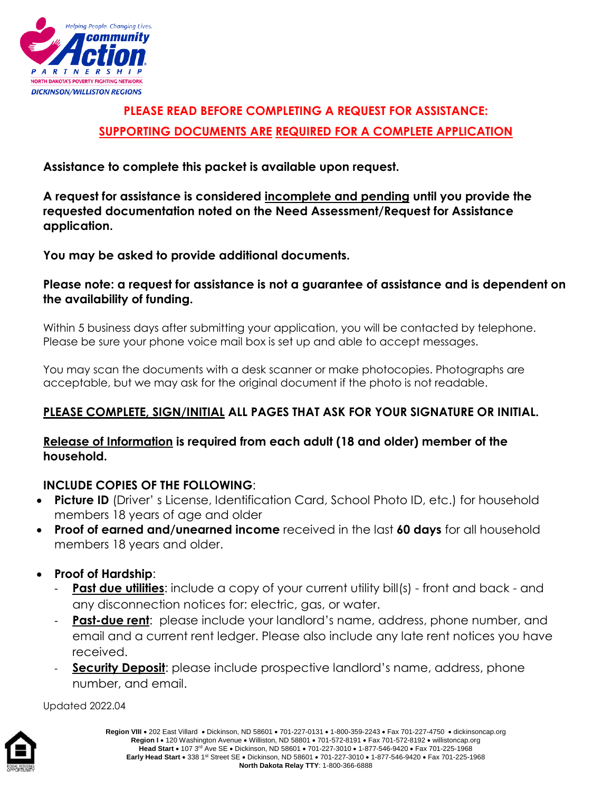

# **PLEASE READ BEFORE COMPLETING A REQUEST FOR ASSISTANCE: SUPPORTING DOCUMENTS ARE REQUIRED FOR A COMPLETE APPLICATION**

**Assistance to complete this packet is available upon request.** 

**A request for assistance is considered incomplete and pending until you provide the requested documentation noted on the Need Assessment/Request for Assistance application.**

**You may be asked to provide additional documents.**

## **Please note: a request for assistance is not a guarantee of assistance and is dependent on the availability of funding.**

Within 5 business days after submitting your application, you will be contacted by telephone. Please be sure your phone voice mail box is set up and able to accept messages.

You may scan the documents with a desk scanner or make photocopies. Photographs are acceptable, but we may ask for the original document if the photo is not readable.

# **PLEASE COMPLETE, SIGN/INITIAL ALL PAGES THAT ASK FOR YOUR SIGNATURE OR INITIAL.**

## **Release of Information is required from each adult (18 and older) member of the household.**

## **INCLUDE COPIES OF THE FOLLOWING**:

- **Picture ID** (Driver' s License, Identification Card, School Photo ID, etc.) for household members 18 years of age and older
- **Proof of earned and/unearned income** received in the last **60 days** for all household members 18 years and older.
- **Proof of Hardship**:
	- **Past due utilities:** include a copy of your current utility bill(s) front and back and any disconnection notices for: electric, gas, or water.
	- **Past-due rent**: please include your landlord's name, address, phone number, and email and a current rent ledger. Please also include any late rent notices you have received.
	- **Security Deposit:** please include prospective landlord's name, address, phone number, and email.

Updated 2022.04

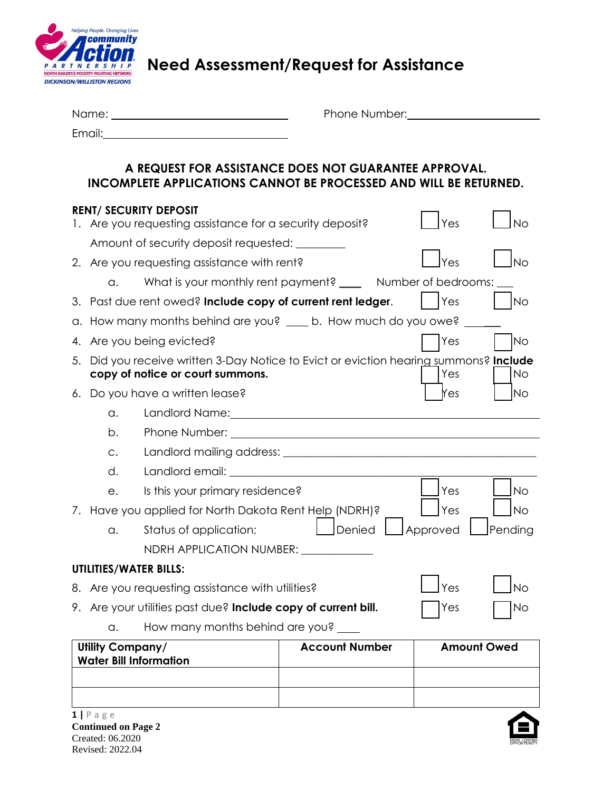

**Need Assessment/Request for Assistance**

| Name:  | Phone Number: |
|--------|---------------|
| Email: |               |

## **A REQUEST FOR ASSISTANCE DOES NOT GUARANTEE APPROVAL. INCOMPLETE APPLICATIONS CANNOT BE PROCESSED AND WILL BE RETURNED.**

|                               | <b>RENT/ SECURITY DEPOSIT</b>                                                                                                                                                                                                        |                       | Yes      | Nο                 |
|-------------------------------|--------------------------------------------------------------------------------------------------------------------------------------------------------------------------------------------------------------------------------------|-----------------------|----------|--------------------|
|                               | 1. Are you requesting assistance for a security deposit?                                                                                                                                                                             |                       |          |                    |
|                               | Amount of security deposit requested:                                                                                                                                                                                                |                       |          |                    |
|                               | 2. Are you requesting assistance with rent?                                                                                                                                                                                          |                       | Yes      | No                 |
| a.                            | What is your monthly rent payment? _____ Number of bedrooms:                                                                                                                                                                         |                       |          |                    |
|                               | 3. Past due rent owed? Include copy of current rent ledger.                                                                                                                                                                          |                       | Yes      | <b>No</b>          |
|                               | a. How many months behind are you? ____ b. How much do you owe?                                                                                                                                                                      |                       |          |                    |
|                               | 4. Are you being evicted?                                                                                                                                                                                                            |                       | Yes      | <b>No</b>          |
|                               | 5. Did you receive written 3-Day Notice to Evict or eviction hearing summons? Include<br>copy of notice or court summons.                                                                                                            |                       | Yes      | No                 |
|                               | 6. Do you have a written lease?                                                                                                                                                                                                      |                       | Yes      | No                 |
| $\alpha$ .                    | Landlord Name: Name and Name and Name and Name and Name and Name and Name and Name and Name and Name and Name and Name and Name and Name and Name and Name and Name and Name and Name and Name and Name and Name and Name and        |                       |          |                    |
| b.                            | Phone Number: <u>contract and the contract of the contract of the contract of the contract of the contract of the contract of the contract of the contract of the contract of the contract of the contract of the contract of th</u> |                       |          |                    |
| C.                            |                                                                                                                                                                                                                                      |                       |          |                    |
| d.                            | Landlord email: the contract of the contract of the contract of the contract of the contract of the contract of the contract of the contract of the contract of the contract of the contract of the contract of the contract o       |                       |          |                    |
| e.                            | Is this your primary residence?                                                                                                                                                                                                      |                       | Yes      | <b>No</b>          |
|                               | 7. Have you applied for North Dakota Rent Help (NDRH)?                                                                                                                                                                               |                       | Yes      | <b>No</b>          |
| a.                            | Status of application:                                                                                                                                                                                                               | Denied                | Approved | Pending            |
|                               | NDRH APPLICATION NUMBER: NDRH APPLICATION                                                                                                                                                                                            |                       |          |                    |
| <b>UTILITIES/WATER BILLS:</b> |                                                                                                                                                                                                                                      |                       |          |                    |
|                               | 8. Are you requesting assistance with utilities?                                                                                                                                                                                     |                       | Yes      | <b>No</b>          |
|                               | 9. Are your utilities past due? Include copy of current bill.                                                                                                                                                                        |                       | Yes      | No                 |
| a.                            | How many months behind are you?                                                                                                                                                                                                      |                       |          |                    |
| Utility Company/              |                                                                                                                                                                                                                                      | <b>Account Number</b> |          | <b>Amount Owed</b> |
|                               | <b>Water Bill Information</b>                                                                                                                                                                                                        |                       |          |                    |
|                               |                                                                                                                                                                                                                                      |                       |          |                    |
|                               |                                                                                                                                                                                                                                      |                       |          |                    |

**1 |** P a g e **Continued on Page 2** Created: 06.2020 Revised: 2022.04

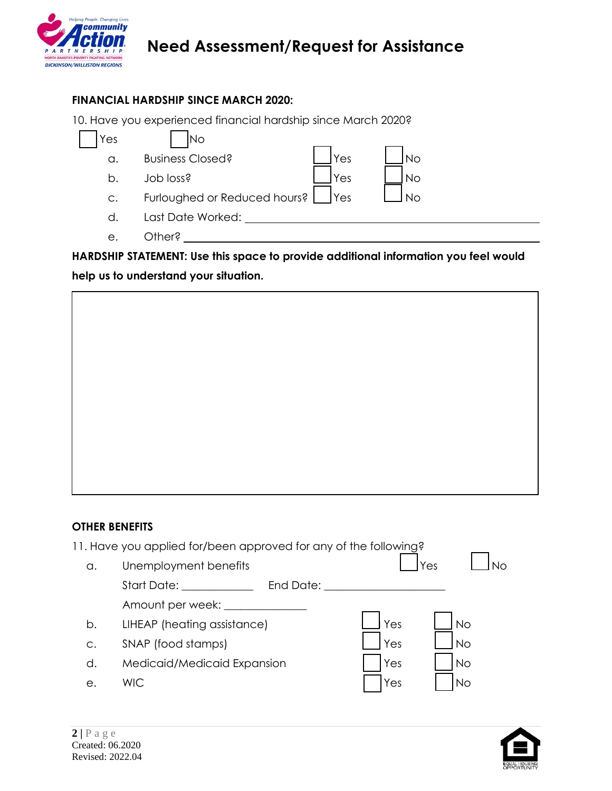

# **Need Assessment/Request for Assistance**

## **FINANCIAL HARDSHIP SINCE MARCH 2020:**

10. Have you experienced financial hardship since March 2020?

| Yes | Nο                                                        |  |
|-----|-----------------------------------------------------------|--|
| a.  | <b>Business Closed?</b><br><b>No</b><br>Yes               |  |
| b.  | S <sub>za</sub> ol dol<br>Yes<br>No                       |  |
| C.  | Furloughed or Reduced hours?<br><b>I</b> Yes<br><b>No</b> |  |
| d.  | Last Date Worked:                                         |  |
| е.  | Other?                                                    |  |

**HARDSHIP STATEMENT: Use this space to provide additional information you feel would help us to understand your situation.**

### **OTHER BENEFITS**

|    | 11. Have you applied for/been approved for any of the following?                                                                                                                                                                            |                  |
|----|---------------------------------------------------------------------------------------------------------------------------------------------------------------------------------------------------------------------------------------------|------------------|
| a. | Unemployment benefits                                                                                                                                                                                                                       | Yes<br>N∩        |
|    | Start Date: the state of the state of the state of the state of the state of the state of the state of the state of the state of the state of the state of the state of the state of the state of the state of the state of th<br>End Date: |                  |
|    | Amount per week:                                                                                                                                                                                                                            |                  |
| b. | LIHEAP (heating assistance)                                                                                                                                                                                                                 | Yes<br><b>No</b> |
| C. | SNAP (food stamps)                                                                                                                                                                                                                          | <b>No</b><br>Yes |
| d. | Medicaid/Medicaid Expansion                                                                                                                                                                                                                 | Yes<br>No        |
| е. | <b>WIC</b>                                                                                                                                                                                                                                  | Yes<br>No        |
|    |                                                                                                                                                                                                                                             |                  |

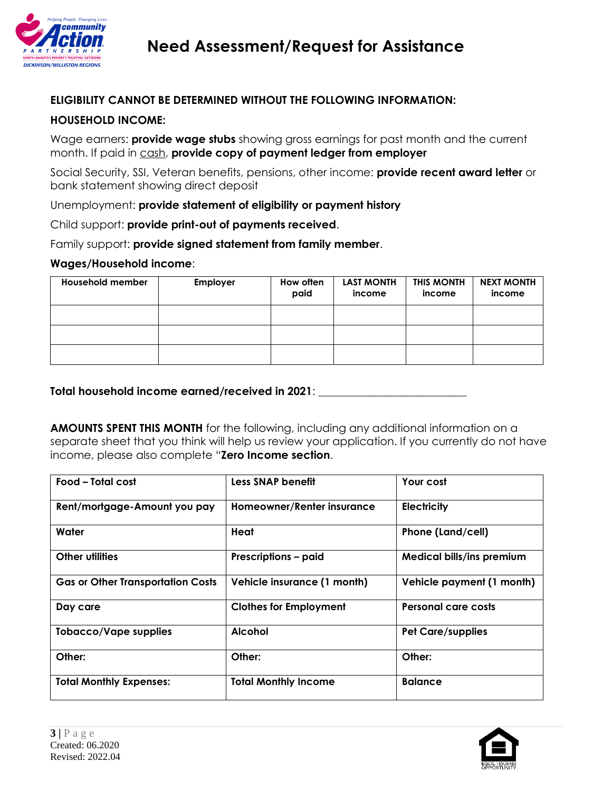

### **ELIGIBILITY CANNOT BE DETERMINED WITHOUT THE FOLLOWING INFORMATION:**

#### **HOUSEHOLD INCOME:**

Wage earners: **provide wage stubs** showing gross earnings for past month and the current month. If paid in cash, **provide copy of payment ledger from employer**

Social Security, SSI, Veteran benefits, pensions, other income: **provide recent award letter** or bank statement showing direct deposit

Unemployment: **provide statement of eligibility or payment history**

Child support: **provide print-out of payments received**.

Family support: **provide signed statement from family member**.

#### **Wages/Household income**:

| <b>Household member</b> | Employer | How often<br>paid | <b>LAST MONTH</b><br>income | THIS MONTH<br>income | <b>NEXT MONTH</b><br>income |
|-------------------------|----------|-------------------|-----------------------------|----------------------|-----------------------------|
|                         |          |                   |                             |                      |                             |
|                         |          |                   |                             |                      |                             |
|                         |          |                   |                             |                      |                             |

### **Total household income earned/received in 2021**: \_\_\_\_\_\_\_\_\_\_\_\_\_\_\_\_\_\_\_\_\_\_\_\_\_\_\_

**AMOUNTS SPENT THIS MONTH** for the following, including any additional information on a separate sheet that you think will help us review your application. If you currently do not have income, please also complete "**Zero Income section**.

| Food - Total cost                        | <b>Less SNAP benefit</b>      | Your cost                        |
|------------------------------------------|-------------------------------|----------------------------------|
| Rent/mortgage-Amount you pay             | Homeowner/Renter insurance    | <b>Electricity</b>               |
| Water                                    | Heat                          | Phone (Land/cell)                |
| <b>Other utilities</b>                   | <b>Prescriptions - paid</b>   | <b>Medical bills/ins premium</b> |
| <b>Gas or Other Transportation Costs</b> | Vehicle insurance (1 month)   | Vehicle payment (1 month)        |
| Day care                                 | <b>Clothes for Employment</b> | <b>Personal care costs</b>       |
| <b>Tobacco/Vape supplies</b>             | <b>Alcohol</b>                | <b>Pet Care/supplies</b>         |
| Other:                                   | Other:                        | Other:                           |
| <b>Total Monthly Expenses:</b>           | <b>Total Monthly Income</b>   | <b>Balance</b>                   |

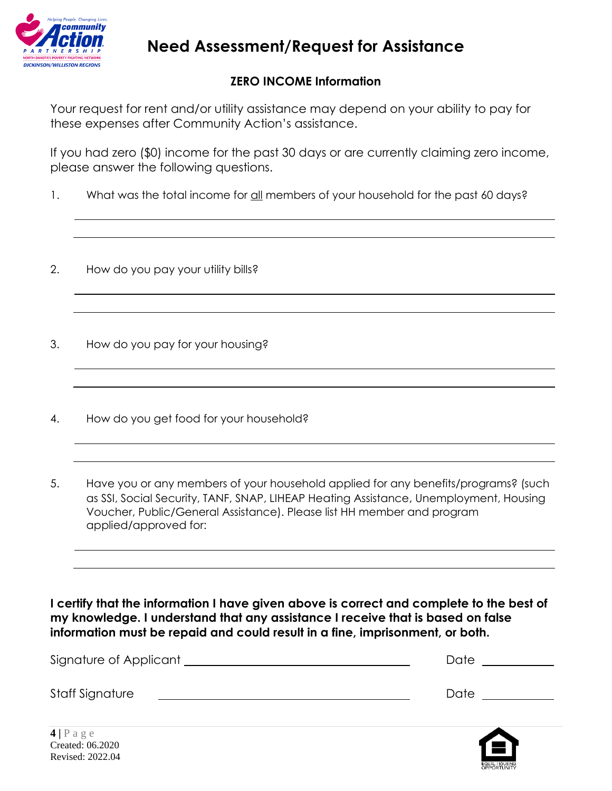

# **Need Assessment/Request for Assistance**

## **ZERO INCOME Information**

Your request for rent and/or utility assistance may depend on your ability to pay for these expenses after Community Action's assistance.

If you had zero (\$0) income for the past 30 days or are currently claiming zero income, please answer the following questions.

- 1. What was the total income for all members of your household for the past 60 days?
- 2. How do you pay your utility bills?
- 3. How do you pay for your housing?
- 4. How do you get food for your household?
- 5. Have you or any members of your household applied for any benefits/programs? (such as SSI, Social Security, TANF, SNAP, LIHEAP Heating Assistance, Unemployment, Housing Voucher, Public/General Assistance). Please list HH member and program applied/approved for:

**I certify that the information I have given above is correct and complete to the best of my knowledge. I understand that any assistance I receive that is based on false information must be repaid and could result in a fine, imprisonment, or both.** 

| Signature of Applicant | Date |
|------------------------|------|
| Staff Signature        | Date |
|                        |      |

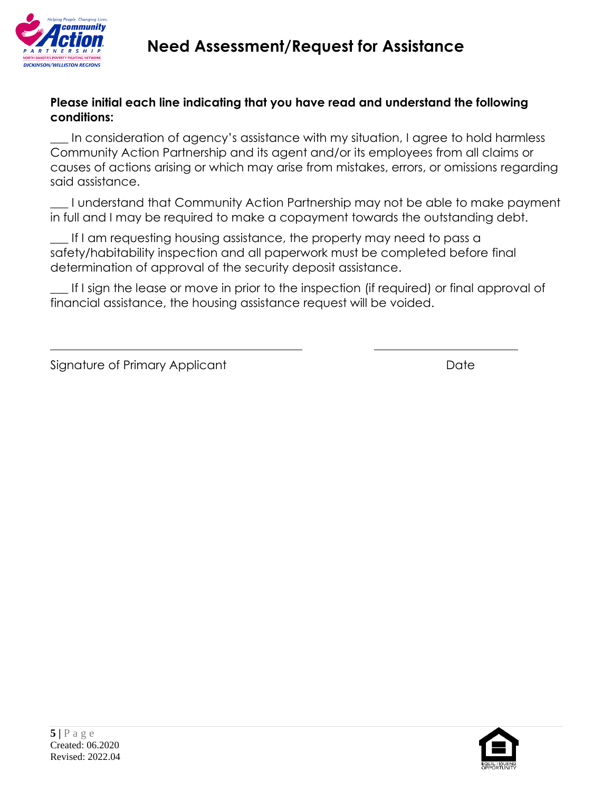

## **Please initial each line indicating that you have read and understand the following conditions:**

**\_\_\_** In consideration of agency's assistance with my situation, I agree to hold harmless Community Action Partnership and its agent and/or its employees from all claims or causes of actions arising or which may arise from mistakes, errors, or omissions regarding said assistance.

\_\_\_ I understand that Community Action Partnership may not be able to make payment in full and I may be required to make a copayment towards the outstanding debt.

If I am requesting housing assistance, the property may need to pass a safety/habitability inspection and all paperwork must be completed before final determination of approval of the security deposit assistance.

\_\_\_ If I sign the lease or move in prior to the inspection (if required) or final approval of financial assistance, the housing assistance request will be voided.

| Signature of Primary Applicant | Date |
|--------------------------------|------|
|--------------------------------|------|

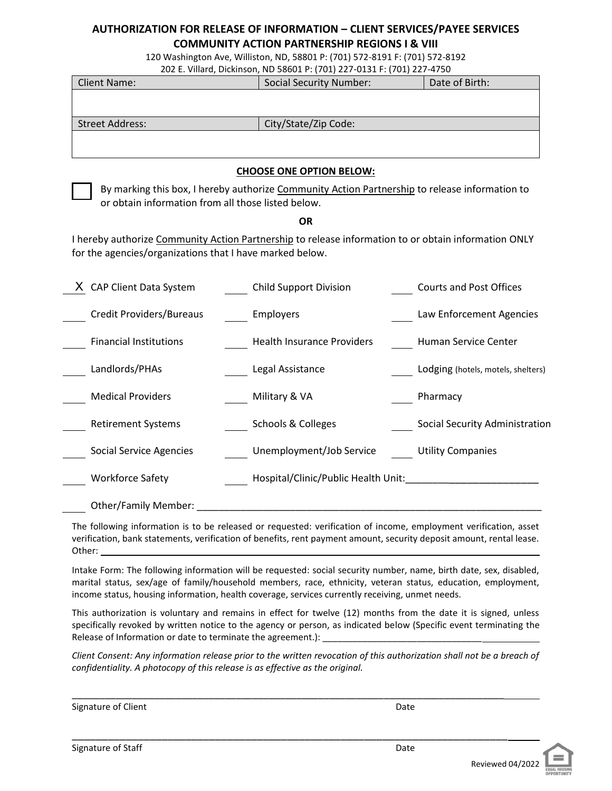#### **AUTHORIZATION FOR RELEASE OF INFORMATION – CLIENT SERVICES/PAYEE SERVICES COMMUNITY ACTION PARTNERSHIP REGIONS I & VIII**

120 Washington Ave, Williston, ND, 58801 P: (701) 572-8191 F: (701) 572-8192

202 E. Villard, Dickinson, ND 58601 P: (701) 227-0131 F: (701) 227-4750 Client Name: Social Security Number: Date of Birth: Street Address: City/State/Zip Code:

#### **CHOOSE ONE OPTION BELOW:**

By marking this box, I hereby authorize Community Action Partnership to release information to or obtain information from all those listed below.

#### **OR**

I hereby authorize Community Action Partnership to release information to or obtain information ONLY for the agencies/organizations that I have marked below.

| <b>CAP Client Data System</b>  | <b>Child Support Division</b>       | <b>Courts and Post Offices</b>     |
|--------------------------------|-------------------------------------|------------------------------------|
| Credit Providers/Bureaus       | Employers                           | Law Enforcement Agencies           |
| <b>Financial Institutions</b>  | <b>Health Insurance Providers</b>   | Human Service Center               |
| Landlords/PHAs                 | Legal Assistance                    | Lodging (hotels, motels, shelters) |
| <b>Medical Providers</b>       | Military & VA                       | Pharmacy                           |
| <b>Retirement Systems</b>      | Schools & Colleges                  | Social Security Administration     |
| <b>Social Service Agencies</b> | Unemployment/Job Service            | <b>Utility Companies</b>           |
| <b>Workforce Safety</b>        | Hospital/Clinic/Public Health Unit: |                                    |
| <b>Other/Family Member:</b>    |                                     |                                    |

The following information is to be released or requested: verification of income, employment verification, asset verification, bank statements, verification of benefits, rent payment amount, security deposit amount, rental lease. Other:

Intake Form: The following information will be requested: social security number, name, birth date, sex, disabled, marital status, sex/age of family/household members, race, ethnicity, veteran status, education, employment, income status, housing information, health coverage, services currently receiving, unmet needs.

This authorization is voluntary and remains in effect for twelve (12) months from the date it is signed, unless specifically revoked by written notice to the agency or person, as indicated below (Specific event terminating the Release of Information or date to terminate the agreement.):

*Client Consent: Any information release prior to the written revocation of this authorization shall not be a breach of confidentiality. A photocopy of this release is as effective as the original.* 

\_\_\_\_\_\_\_\_\_\_\_\_\_\_\_\_\_\_\_\_\_\_\_\_\_\_\_\_\_\_\_\_\_\_\_\_\_\_\_\_\_\_\_\_\_\_\_\_\_\_\_\_\_\_\_\_\_\_\_\_\_\_\_\_\_\_\_\_\_\_\_\_\_\_\_\_\_\_\_

\_\_\_\_\_\_\_\_\_\_\_\_\_\_\_\_\_\_\_\_\_\_\_\_\_\_\_\_\_\_\_\_\_\_\_\_\_\_\_\_\_\_\_\_\_\_\_\_\_\_\_\_\_\_\_\_\_\_\_\_\_\_\_\_\_\_\_\_\_\_\_\_\_

Signature of Client Date

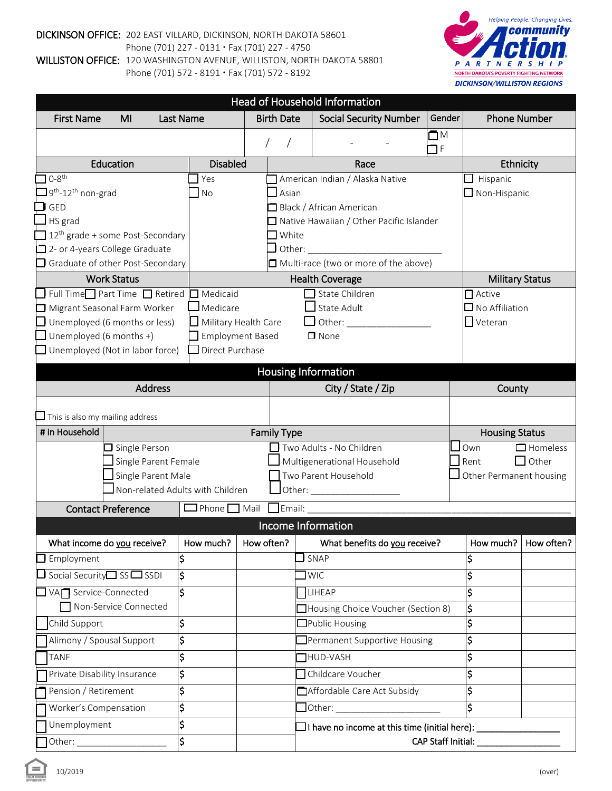#### DICKINSON OFFICE: 202 EAST VILLARD, DICKINSON, NORTH DAKOTA 58601 Phone (701) 227 - 0131 · Fax (701) 227 - 4750 WILLISTON OFFICE: 120 WASHINGTON AVENUE, WILLISTON, NORTH DAKOTA 58801

Phone (701) 572 - 8191 · Fax (701) 572 - 8192



|                                                                           | <b>Head of Household Information</b> |                                                     |                                |                                                           |                   |                          |                        |
|---------------------------------------------------------------------------|--------------------------------------|-----------------------------------------------------|--------------------------------|-----------------------------------------------------------|-------------------|--------------------------|------------------------|
| <b>First Name</b><br>Last Name<br>MI                                      |                                      |                                                     | <b>Birth Date</b>              | <b>Social Security Number</b>                             | Gender            | <b>Phone Number</b>      |                        |
|                                                                           |                                      |                                                     |                                |                                                           | $\square$ M<br>ПF |                          |                        |
| Education                                                                 | <b>Disabled</b>                      |                                                     |                                | Race                                                      |                   | Ethnicity                |                        |
| $0-8$ <sup>th</sup>                                                       | Yes                                  |                                                     |                                | American Indian / Alaska Native                           |                   | Hispanic                 |                        |
| 9 <sup>th</sup> -12 <sup>th</sup> non-grad                                | <b>No</b>                            |                                                     | $\overline{\phantom{a}}$ Asian |                                                           |                   | Non-Hispanic             |                        |
| <b>GED</b>                                                                |                                      |                                                     |                                | Black / African American                                  |                   |                          |                        |
| HS grad                                                                   |                                      |                                                     |                                | □ Native Hawaiian / Other Pacific Islander                |                   |                          |                        |
| 12 <sup>th</sup> grade + some Post-Secondary                              |                                      |                                                     | $\Box$ White                   |                                                           |                   |                          |                        |
| $\Box$ 2- or 4-years College Graduate<br>Graduate of other Post-Secondary |                                      |                                                     | Other:                         | Multi-race (two or more of the above)                     |                   |                          |                        |
| <b>Work Status</b>                                                        |                                      |                                                     |                                | <b>Health Coverage</b>                                    |                   | <b>Military Status</b>   |                        |
| Full Time□ Part Time □ Retired                                            | $\Box$ Medicaid                      |                                                     |                                | State Children                                            |                   | $\Box$ Active            |                        |
| Migrant Seasonal Farm Worker                                              | Medicare                             |                                                     |                                | State Adult                                               |                   | $\square$ No Affiliation |                        |
| $\Box$ Unemployed (6 months or less)                                      | $\Box$ Military Health Care          |                                                     |                                |                                                           |                   | $\Box$ Veteran           |                        |
| Unemployed (6 months +)                                                   | <b>Employment Based</b>              |                                                     |                                | $\Box$ None                                               |                   |                          |                        |
| Unemployed (Not in labor force)                                           | Direct Purchase                      |                                                     |                                |                                                           |                   |                          |                        |
|                                                                           |                                      |                                                     |                                | Housing Information                                       |                   |                          |                        |
| <b>Address</b>                                                            |                                      |                                                     |                                | City / State / Zip                                        |                   | County                   |                        |
|                                                                           |                                      |                                                     |                                |                                                           |                   |                          |                        |
| This is also my mailing address                                           |                                      |                                                     |                                |                                                           |                   |                          |                        |
| # in Household                                                            |                                      |                                                     | <b>Family Type</b>             |                                                           |                   | <b>Housing Status</b>    |                        |
| $\Box$ Single Person                                                      |                                      |                                                     |                                | Two Adults - No Children                                  |                   | Own                      | $\Box$ Homeless        |
| Single Parent Female<br>Single Parent Male                                |                                      | Multigenerational Household<br>Two Parent Household |                                | Rent<br>Other Permanent housing                           | $\Box$ Other      |                          |                        |
| Non-related Adults with Children                                          |                                      |                                                     |                                |                                                           |                   |                          |                        |
|                                                                           |                                      |                                                     |                                |                                                           |                   |                          |                        |
| <b>Contact Preference</b>                                                 | $\Box$ Phone $\Box$ Mail             |                                                     | $\Box$ Email: $\Box$           | Income Information                                        |                   |                          |                        |
|                                                                           |                                      |                                                     |                                |                                                           |                   |                          |                        |
| What income do you receive?                                               | How much?                            |                                                     | How often?                     | What benefits do you receive?                             |                   |                          | How much?   How often? |
| \$<br>Employment                                                          |                                      |                                                     |                                | SNAP                                                      |                   | \$                       |                        |
| $\frac{1}{2}$<br>$\Box$ Social Security $\Box$ SSI $\Box$ SSDI<br>Ś       |                                      |                                                     |                                | <b>WIC</b>                                                |                   | \$                       |                        |
| VA <sub>I</sub> Service-Connected<br>Non-Service Connected                |                                      |                                                     |                                | <b>LIHEAP</b>                                             |                   | \$                       |                        |
| \$<br>Child Support                                                       |                                      |                                                     |                                | □Housing Choice Voucher (Section 8)<br>Public Housing     |                   | \$<br>\$                 |                        |
| \$<br>Alimony / Spousal Support                                           |                                      |                                                     |                                | Permanent Supportive Housing                              |                   | \$                       |                        |
| \$<br><b>TANF</b>                                                         |                                      |                                                     |                                | <b>THUD-VASH</b>                                          |                   | \$                       |                        |
| \$<br>Private Disability Insurance                                        |                                      |                                                     |                                | Childcare Voucher                                         |                   | \$                       |                        |
|                                                                           |                                      |                                                     |                                | Affordable Care Act Subsidy                               |                   | \$                       |                        |
| Pension / Retirement                                                      |                                      |                                                     |                                |                                                           |                   |                          |                        |
| \$<br>\$<br>Worker's Compensation                                         |                                      |                                                     |                                |                                                           |                   | Ś                        |                        |
| \$<br>Unemployment                                                        |                                      |                                                     |                                | $\Box$ I have no income at this time (initial here): $\_$ |                   |                          |                        |